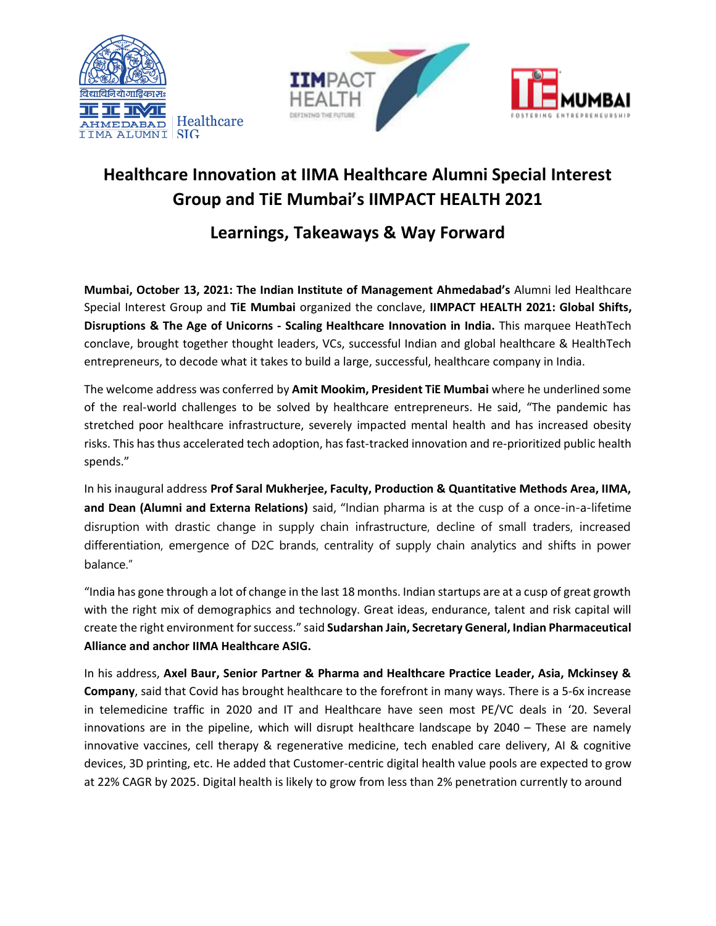





## **Healthcare Innovation at IIMA Healthcare Alumni Special Interest Group and TiE Mumbai's IIMPACT HEALTH 2021**

## **Learnings, Takeaways & Way Forward**

**Mumbai, October 13, 2021: The Indian Institute of Management Ahmedabad's** Alumni led Healthcare Special Interest Group and **TiE Mumbai** organized the conclave, **IIMPACT HEALTH 2021: Global Shifts, Disruptions & The Age of Unicorns - Scaling Healthcare Innovation in India.** This marquee HeathTech conclave, brought together thought leaders, VCs, successful Indian and global healthcare & HealthTech entrepreneurs, to decode what it takes to build a large, successful, healthcare company in India.

The welcome address was conferred by **Amit Mookim, President TiE Mumbai** where he underlined some of the real-world challenges to be solved by healthcare entrepreneurs. He said, "The pandemic has stretched poor healthcare infrastructure, severely impacted mental health and has increased obesity risks. This has thus accelerated tech adoption, has fast-tracked innovation and re-prioritized public health spends."

In his inaugural address **Prof Saral Mukherjee, Faculty, Production & Quantitative Methods Area, IIMA, and Dean (Alumni and Externa Relations)** said, "Indian pharma is at the cusp of a once-in-a-lifetime disruption with drastic change in supply chain infrastructure, decline of small traders, increased differentiation, emergence of D2C brands, centrality of supply chain analytics and shifts in power balance."

"India has gone through a lot of change in the last 18 months. Indian startups are at a cusp of great growth with the right mix of demographics and technology. Great ideas, endurance, talent and risk capital will create the right environment for success." said **Sudarshan Jain, Secretary General, Indian Pharmaceutical Alliance and anchor IIMA Healthcare ASIG.** 

In his address, **Axel Baur, Senior Partner & Pharma and Healthcare Practice Leader, Asia, Mckinsey & Company**, said that Covid has brought healthcare to the forefront in many ways. There is a 5-6x increase in telemedicine traffic in 2020 and IT and Healthcare have seen most PE/VC deals in '20. Several innovations are in the pipeline, which will disrupt healthcare landscape by 2040 – These are namely innovative vaccines, cell therapy & regenerative medicine, tech enabled care delivery, AI & cognitive devices, 3D printing, etc. He added that Customer-centric digital health value pools are expected to grow at 22% CAGR by 2025. Digital health is likely to grow from less than 2% penetration currently to around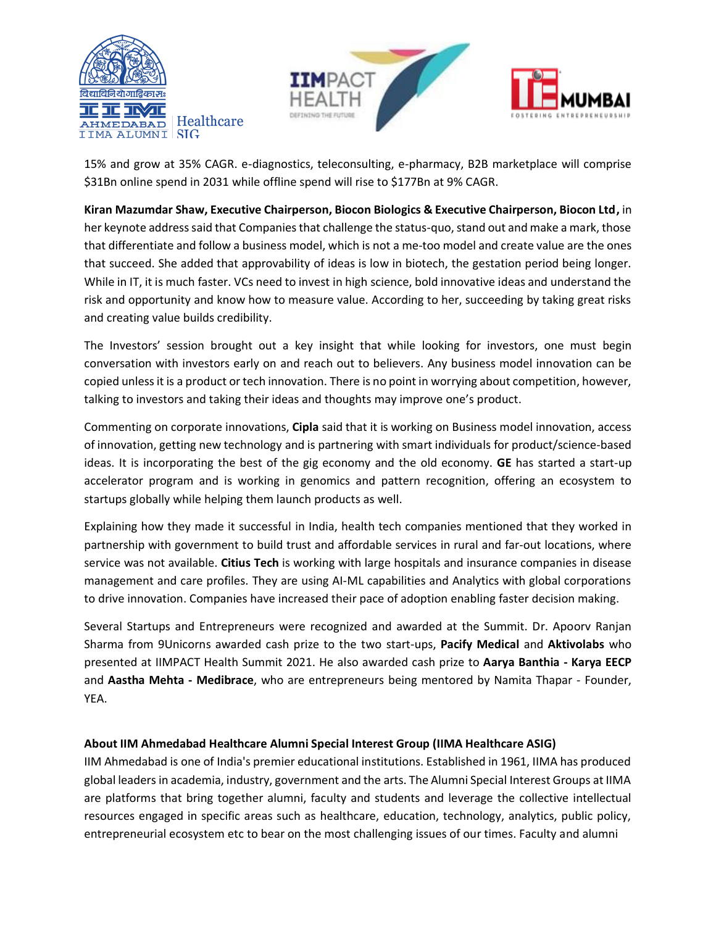



15% and grow at 35% CAGR. e-diagnostics, teleconsulting, e-pharmacy, B2B marketplace will comprise \$31Bn online spend in 2031 while offline spend will rise to \$177Bn at 9% CAGR.

**Kiran Mazumdar Shaw, Executive Chairperson, Biocon Biologics & Executive Chairperson, Biocon Ltd,** in her keynote address said that Companies that challenge the status-quo, stand out and make a mark, those that differentiate and follow a business model, which is not a me-too model and create value are the ones that succeed. She added that approvability of ideas is low in biotech, the gestation period being longer. While in IT, it is much faster. VCs need to invest in high science, bold innovative ideas and understand the risk and opportunity and know how to measure value. According to her, succeeding by taking great risks and creating value builds credibility.

The Investors' session brought out a key insight that while looking for investors, one must begin conversation with investors early on and reach out to believers. Any business model innovation can be copied unlessit is a product or tech innovation. There is no point in worrying about competition, however, talking to investors and taking their ideas and thoughts may improve one's product.

Commenting on corporate innovations, **Cipla** said that it is working on Business model innovation, access of innovation, getting new technology and is partnering with smart individuals for product/science-based ideas. It is incorporating the best of the gig economy and the old economy. **GE** has started a start-up accelerator program and is working in genomics and pattern recognition, offering an ecosystem to startups globally while helping them launch products as well.

Explaining how they made it successful in India, health tech companies mentioned that they worked in partnership with government to build trust and affordable services in rural and far-out locations, where service was not available. **Citius Tech** is working with large hospitals and insurance companies in disease management and care profiles. They are using AI-ML capabilities and Analytics with global corporations to drive innovation. Companies have increased their pace of adoption enabling faster decision making.

Several Startups and Entrepreneurs were recognized and awarded at the Summit. Dr. Apoorv Ranjan Sharma from 9Unicorns awarded cash prize to the two start-ups, **Pacify Medical** and **Aktivolabs** who presented at IIMPACT Health Summit 2021. He also awarded cash prize to **Aarya Banthia - Karya EECP** and **Aastha Mehta - Medibrace**, who are entrepreneurs being mentored by Namita Thapar - Founder, YEA.

## **About IIM Ahmedabad Healthcare Alumni Special Interest Group (IIMA Healthcare ASIG)**

IIM Ahmedabad is one of India's premier educational institutions. Established in 1961, IIMA has produced global leaders in academia, industry, government and the arts. The Alumni Special Interest Groups at IIMA are platforms that bring together alumni, faculty and students and leverage the collective intellectual resources engaged in specific areas such as healthcare, education, technology, analytics, public policy, entrepreneurial ecosystem etc to bear on the most challenging issues of our times. Faculty and alumni